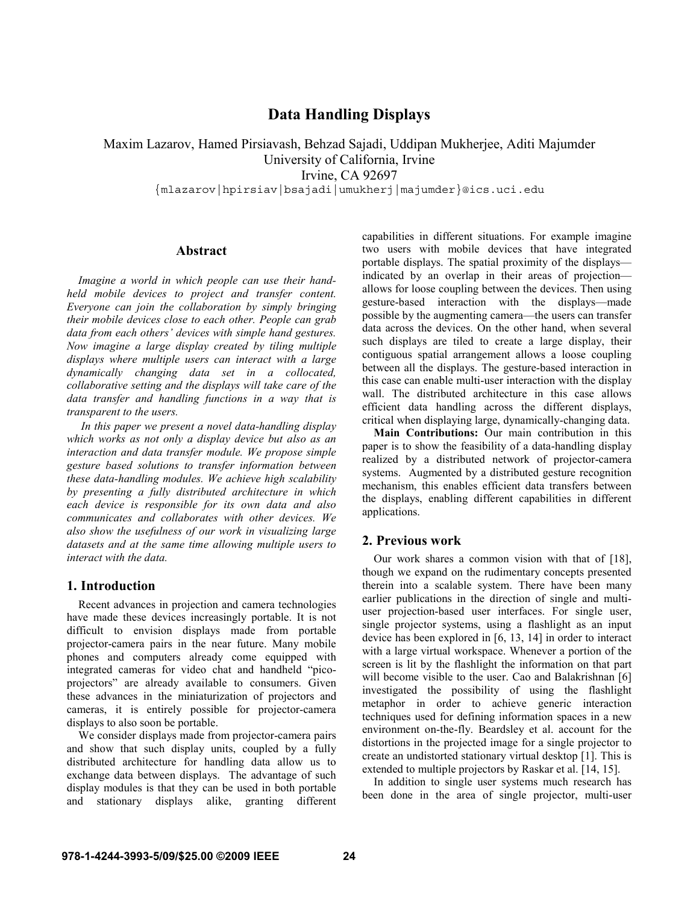# **Data Handling Displays**

Maxim Lazarov, Hamed Pirsiavash, Behzad Sajadi, Uddipan Mukherjee, Aditi Majumder University of California, Irvine Irvine, CA 92697

{mlazarov|hpirsiav|bsajadi|umukherj|majumder}@ics.uci.edu

### **Abstract**

*Imagine a world in which people can use their handheld mobile devices to project and transfer content. Everyone can join the collaboration by simply bringing their mobile devices close to each other. People can grab data from each others' devices with simple hand gestures. Now imagine a large display created by tiling multiple displays where multiple users can interact with a large dynamically changing data set in a collocated, collaborative setting and the displays will take care of the data transfer and handling functions in a way that is transparent to the users.* 

 *In this paper we present a novel data-handling display which works as not only a display device but also as an interaction and data transfer module. We propose simple gesture based solutions to transfer information between these data-handling modules. We achieve high scalability by presenting a fully distributed architecture in which each device is responsible for its own data and also communicates and collaborates with other devices. We also show the usefulness of our work in visualizing large datasets and at the same time allowing multiple users to interact with the data.* 

### **1. Introduction**

Recent advances in projection and camera technologies have made these devices increasingly portable. It is not difficult to envision displays made from portable projector-camera pairs in the near future. Many mobile phones and computers already come equipped with integrated cameras for video chat and handheld "picoprojectors" are already available to consumers. Given these advances in the miniaturization of projectors and cameras, it is entirely possible for projector-camera displays to also soon be portable.

We consider displays made from projector-camera pairs and show that such display units, coupled by a fully distributed architecture for handling data allow us to exchange data between displays. The advantage of such display modules is that they can be used in both portable and stationary displays alike, granting different

capabilities in different situations. For example imagine two users with mobile devices that have integrated portable displays. The spatial proximity of the displays indicated by an overlap in their areas of projection allows for loose coupling between the devices. Then using gesture-based interaction with the displays—made possible by the augmenting camera—the users can transfer data across the devices. On the other hand, when several such displays are tiled to create a large display, their contiguous spatial arrangement allows a loose coupling between all the displays. The gesture-based interaction in this case can enable multi-user interaction with the display wall. The distributed architecture in this case allows efficient data handling across the different displays, critical when displaying large, dynamically-changing data.

**Main Contributions:** Our main contribution in this paper is to show the feasibility of a data-handling display realized by a distributed network of projector-camera systems. Augmented by a distributed gesture recognition mechanism, this enables efficient data transfers between the displays, enabling different capabilities in different applications.

# **2. Previous work**

Our work shares a common vision with that of [18], though we expand on the rudimentary concepts presented therein into a scalable system. There have been many earlier publications in the direction of single and multiuser projection-based user interfaces. For single user, single projector systems, using a flashlight as an input device has been explored in [6, 13, 14] in order to interact with a large virtual workspace. Whenever a portion of the screen is lit by the flashlight the information on that part will become visible to the user. Cao and Balakrishnan [6] investigated the possibility of using the flashlight metaphor in order to achieve generic interaction techniques used for defining information spaces in a new environment on-the-fly. Beardsley et al. account for the distortions in the projected image for a single projector to create an undistorted stationary virtual desktop [1]. This is extended to multiple projectors by Raskar et al. [14, 15].

In addition to single user systems much research has been done in the area of single projector, multi-user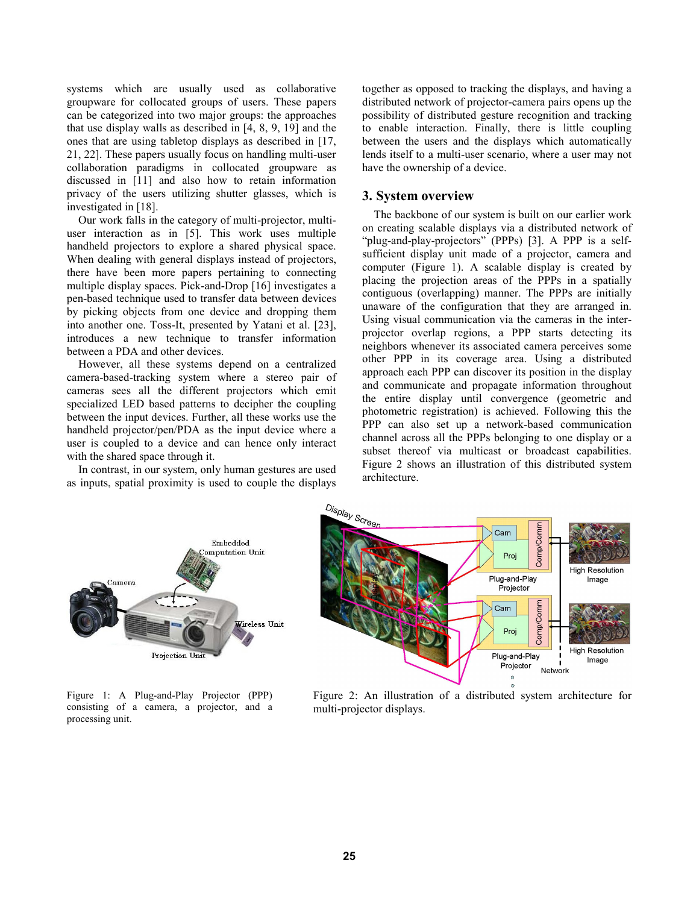systems which are usually used as collaborative groupware for collocated groups of users. These papers can be categorized into two major groups: the approaches that use display walls as described in [4, 8, 9, 19] and the ones that are using tabletop displays as described in [17, 21, 22]. These papers usually focus on handling multi-user collaboration paradigms in collocated groupware as discussed in [11] and also how to retain information privacy of the users utilizing shutter glasses, which is investigated in [18].

Our work falls in the category of multi-projector, multiuser interaction as in [5]. This work uses multiple handheld projectors to explore a shared physical space. When dealing with general displays instead of projectors, there have been more papers pertaining to connecting multiple display spaces. Pick-and-Drop [16] investigates a pen-based technique used to transfer data between devices by picking objects from one device and dropping them into another one. Toss-It, presented by Yatani et al. [23], introduces a new technique to transfer information between a PDA and other devices.

However, all these systems depend on a centralized camera-based-tracking system where a stereo pair of cameras sees all the different projectors which emit specialized LED based patterns to decipher the coupling between the input devices. Further, all these works use the handheld projector/pen/PDA as the input device where a user is coupled to a device and can hence only interact with the shared space through it.

In contrast, in our system, only human gestures are used as inputs, spatial proximity is used to couple the displays

together as opposed to tracking the displays, and having a distributed network of projector-camera pairs opens up the possibility of distributed gesture recognition and tracking to enable interaction. Finally, there is little coupling between the users and the displays which automatically lends itself to a multi-user scenario, where a user may not have the ownership of a device.

### **3. System overview**

The backbone of our system is built on our earlier work on creating scalable displays via a distributed network of "plug-and-play-projectors" (PPPs) [3]. A PPP is a selfsufficient display unit made of a projector, camera and computer (Figure 1). A scalable display is created by placing the projection areas of the PPPs in a spatially contiguous (overlapping) manner. The PPPs are initially unaware of the configuration that they are arranged in. Using visual communication via the cameras in the interprojector overlap regions, a PPP starts detecting its neighbors whenever its associated camera perceives some other PPP in its coverage area. Using a distributed approach each PPP can discover its position in the display and communicate and propagate information throughout the entire display until convergence (geometric and photometric registration) is achieved. Following this the PPP can also set up a network-based communication channel across all the PPPs belonging to one display or a subset thereof via multicast or broadcast capabilities. Figure 2 shows an illustration of this distributed system architecture.



 Figure 1: A Plug-and-Play Projector (PPP) consisting of a camera, a projector, and a processing unit.



Figure 2: An illustration of a distributed system architecture for multi-projector displays.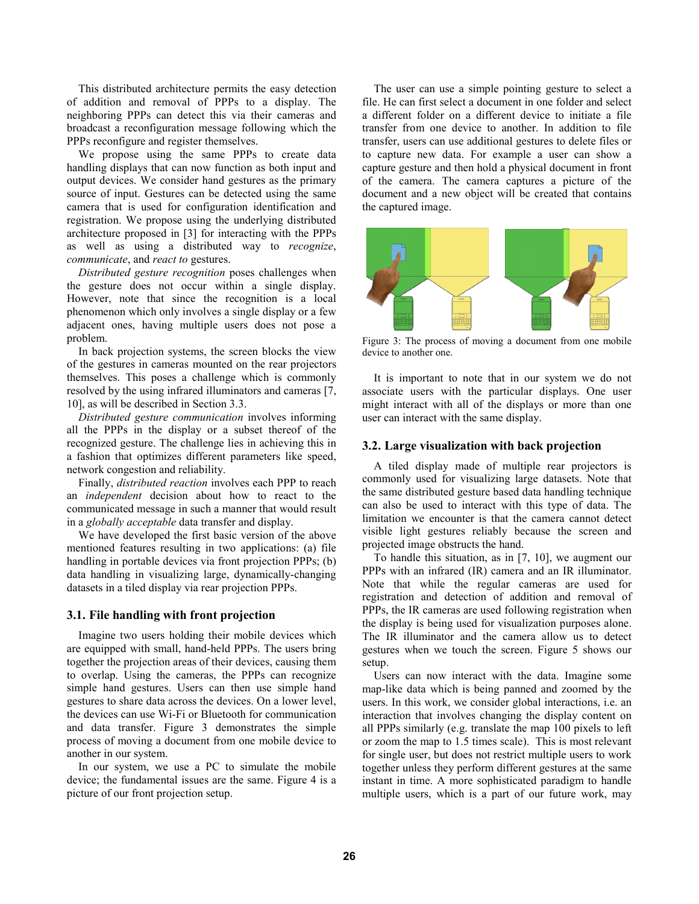This distributed architecture permits the easy detection of addition and removal of PPPs to a display. The neighboring PPPs can detect this via their cameras and broadcast a reconfiguration message following which the PPPs reconfigure and register themselves.

We propose using the same PPPs to create data handling displays that can now function as both input and output devices. We consider hand gestures as the primary source of input. Gestures can be detected using the same camera that is used for configuration identification and registration. We propose using the underlying distributed architecture proposed in [3] for interacting with the PPPs as well as using a distributed way to *recognize*, *communicate*, and *react to* gestures.

*Distributed gesture recognition* poses challenges when the gesture does not occur within a single display. However, note that since the recognition is a local phenomenon which only involves a single display or a few adjacent ones, having multiple users does not pose a problem.

In back projection systems, the screen blocks the view of the gestures in cameras mounted on the rear projectors themselves. This poses a challenge which is commonly resolved by the using infrared illuminators and cameras [7, 10], as will be described in Section 3.3.

*Distributed gesture communication* involves informing all the PPPs in the display or a subset thereof of the recognized gesture. The challenge lies in achieving this in a fashion that optimizes different parameters like speed, network congestion and reliability.

Finally, *distributed reaction* involves each PPP to reach an *independent* decision about how to react to the communicated message in such a manner that would result in a *globally acceptable* data transfer and display.

We have developed the first basic version of the above mentioned features resulting in two applications: (a) file handling in portable devices via front projection PPPs; (b) data handling in visualizing large, dynamically-changing datasets in a tiled display via rear projection PPPs.

#### **3.1. File handling with front projection**

Imagine two users holding their mobile devices which are equipped with small, hand-held PPPs. The users bring together the projection areas of their devices, causing them to overlap. Using the cameras, the PPPs can recognize simple hand gestures. Users can then use simple hand gestures to share data across the devices. On a lower level, the devices can use Wi-Fi or Bluetooth for communication and data transfer. Figure 3 demonstrates the simple process of moving a document from one mobile device to another in our system.

In our system, we use a PC to simulate the mobile device; the fundamental issues are the same. Figure 4 is a picture of our front projection setup.

The user can use a simple pointing gesture to select a file. He can first select a document in one folder and select a different folder on a different device to initiate a file transfer from one device to another. In addition to file transfer, users can use additional gestures to delete files or to capture new data. For example a user can show a capture gesture and then hold a physical document in front of the camera. The camera captures a picture of the document and a new object will be created that contains the captured image.



Figure 3: The process of moving a document from one mobile device to another one.

It is important to note that in our system we do not associate users with the particular displays. One user might interact with all of the displays or more than one user can interact with the same display.

### **3.2. Large visualization with back projection**

A tiled display made of multiple rear projectors is commonly used for visualizing large datasets. Note that the same distributed gesture based data handling technique can also be used to interact with this type of data. The limitation we encounter is that the camera cannot detect visible light gestures reliably because the screen and projected image obstructs the hand.

To handle this situation, as in [7, 10], we augment our PPPs with an infrared (IR) camera and an IR illuminator. Note that while the regular cameras are used for registration and detection of addition and removal of PPPs, the IR cameras are used following registration when the display is being used for visualization purposes alone. The IR illuminator and the camera allow us to detect gestures when we touch the screen. Figure 5 shows our setup.

Users can now interact with the data. Imagine some map-like data which is being panned and zoomed by the users. In this work, we consider global interactions, i.e. an interaction that involves changing the display content on all PPPs similarly (e.g. translate the map 100 pixels to left or zoom the map to 1.5 times scale). This is most relevant for single user, but does not restrict multiple users to work together unless they perform different gestures at the same instant in time. A more sophisticated paradigm to handle multiple users, which is a part of our future work, may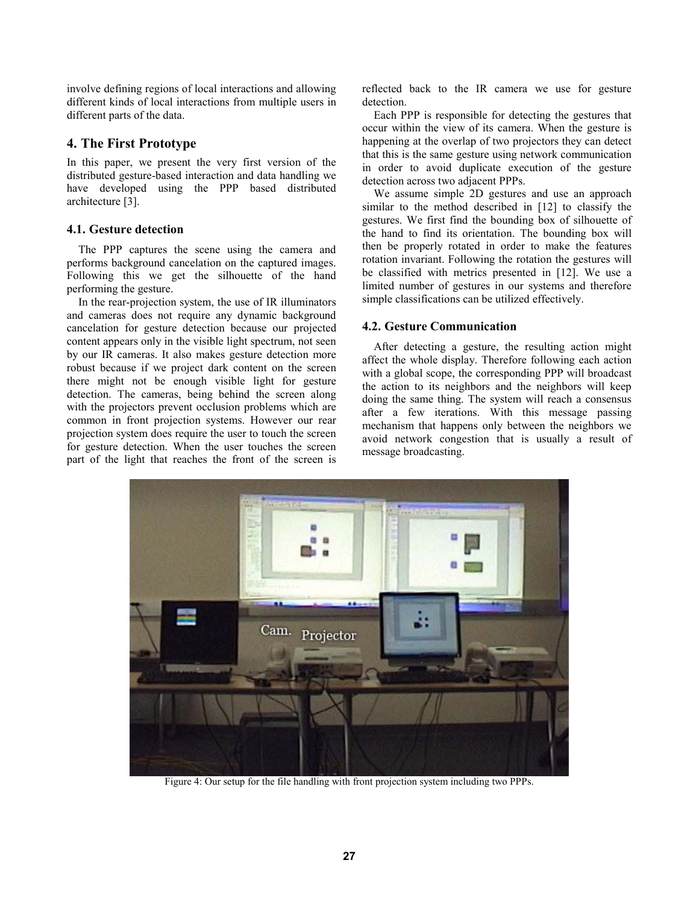involve defining regions of local interactions and allowing different kinds of local interactions from multiple users in different parts of the data.

# **4. The First Prototype**

In this paper, we present the very first version of the distributed gesture-based interaction and data handling we have developed using the PPP based distributed architecture [3].

# **4.1. Gesture detection**

The PPP captures the scene using the camera and performs background cancelation on the captured images. Following this we get the silhouette of the hand performing the gesture.

In the rear-projection system, the use of IR illuminators and cameras does not require any dynamic background cancelation for gesture detection because our projected content appears only in the visible light spectrum, not seen by our IR cameras. It also makes gesture detection more robust because if we project dark content on the screen there might not be enough visible light for gesture detection. The cameras, being behind the screen along with the projectors prevent occlusion problems which are common in front projection systems. However our rear projection system does require the user to touch the screen for gesture detection. When the user touches the screen part of the light that reaches the front of the screen is

reflected back to the IR camera we use for gesture detection.

Each PPP is responsible for detecting the gestures that occur within the view of its camera. When the gesture is happening at the overlap of two projectors they can detect that this is the same gesture using network communication in order to avoid duplicate execution of the gesture detection across two adjacent PPPs.

We assume simple 2D gestures and use an approach similar to the method described in [12] to classify the gestures. We first find the bounding box of silhouette of the hand to find its orientation. The bounding box will then be properly rotated in order to make the features rotation invariant. Following the rotation the gestures will be classified with metrics presented in [12]. We use a limited number of gestures in our systems and therefore simple classifications can be utilized effectively.

# **4.2. Gesture Communication**

After detecting a gesture, the resulting action might affect the whole display. Therefore following each action with a global scope, the corresponding PPP will broadcast the action to its neighbors and the neighbors will keep doing the same thing. The system will reach a consensus after a few iterations. With this message passing mechanism that happens only between the neighbors we avoid network congestion that is usually a result of message broadcasting.



Figure 4: Our setup for the file handling with front projection system including two PPPs.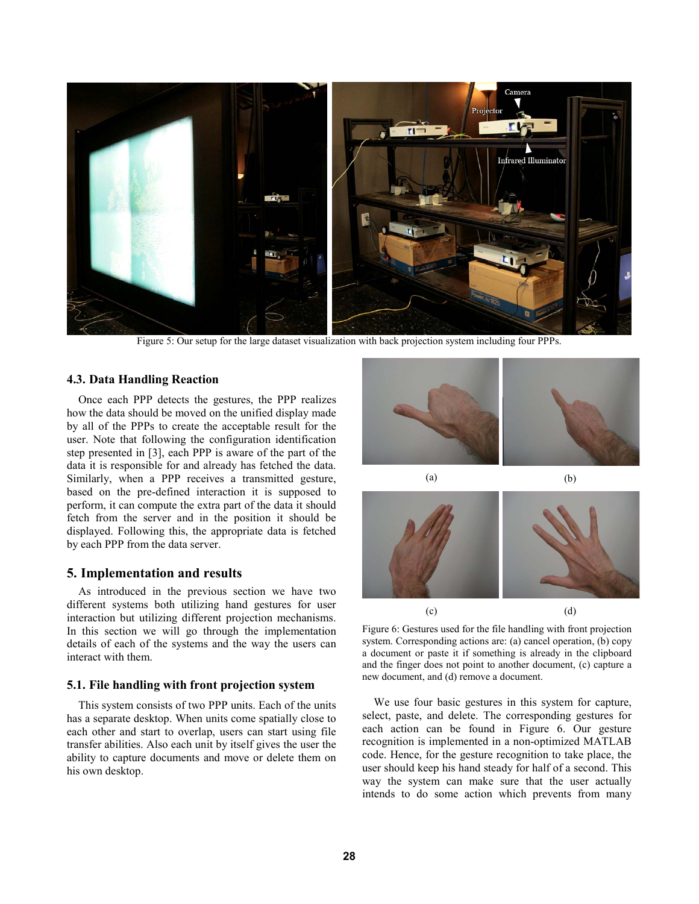

Figure 5: Our setup for the large dataset visualization with back projection system including four PPPs.

#### **4.3. Data Handling Reaction**

Once each PPP detects the gestures, the PPP realizes how the data should be moved on the unified display made by all of the PPPs to create the acceptable result for the user. Note that following the configuration identification step presented in [3], each PPP is aware of the part of the data it is responsible for and already has fetched the data. Similarly, when a PPP receives a transmitted gesture, based on the pre-defined interaction it is supposed to perform, it can compute the extra part of the data it should fetch from the server and in the position it should be displayed. Following this, the appropriate data is fetched by each PPP from the data server.

## **5. Implementation and results**

As introduced in the previous section we have two different systems both utilizing hand gestures for user interaction but utilizing different projection mechanisms. In this section we will go through the implementation details of each of the systems and the way the users can interact with them.

## **5.1. File handling with front projection system**

This system consists of two PPP units. Each of the units has a separate desktop. When units come spatially close to each other and start to overlap, users can start using file transfer abilities. Also each unit by itself gives the user the ability to capture documents and move or delete them on his own desktop.





Figure 6: Gestures used for the file handling with front projection system. Corresponding actions are: (a) cancel operation, (b) copy a document or paste it if something is already in the clipboard and the finger does not point to another document, (c) capture a new document, and (d) remove a document.

We use four basic gestures in this system for capture, select, paste, and delete. The corresponding gestures for each action can be found in Figure 6. Our gesture recognition is implemented in a non-optimized MATLAB code. Hence, for the gesture recognition to take place, the user should keep his hand steady for half of a second. This way the system can make sure that the user actually intends to do some action which prevents from many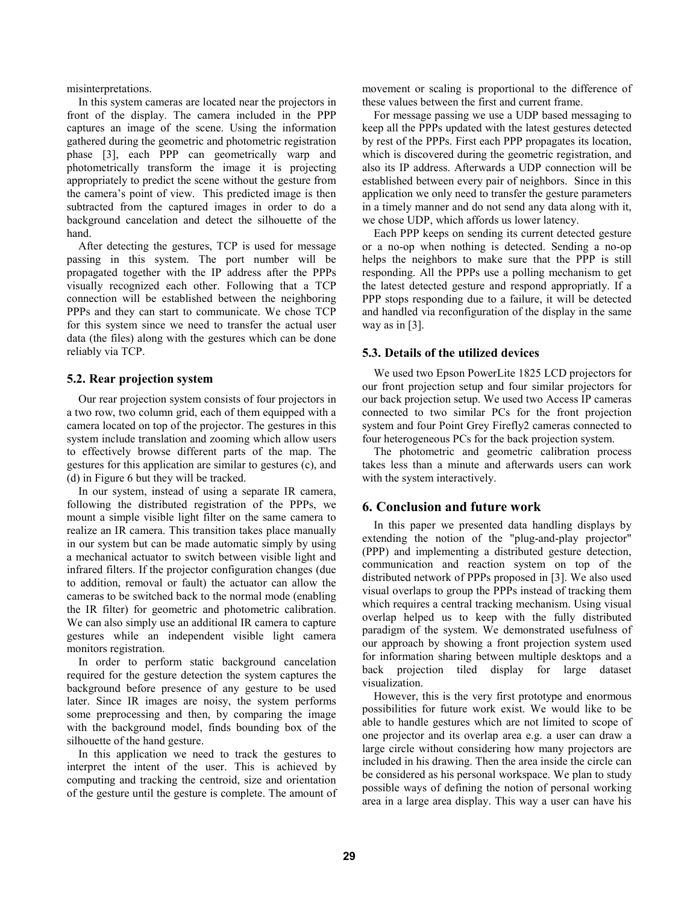misinterpretations.

In this system cameras are located near the projectors in front of the display. The camera included in the PPP captures an image of the scene. Using the information gathered during the geometric and photometric registration phase [3], each PPP can geometrically warp and photometrically transform the image it is projecting appropriately to predict the scene without the gesture from the camera's point of view. This predicted image is then subtracted from the captured images in order to do a background cancelation and detect the silhouette of the hand.

After detecting the gestures, TCP is used for message passing in this system. The port number will be propagated together with the IP address after the PPPs visually recognized each other. Following that a TCP connection will be established between the neighboring PPPs and they can start to communicate. We chose TCP for this system since we need to transfer the actual user data (the files) along with the gestures which can be done reliably via TCP.

## **5.2. Rear projection system**

Our rear projection system consists of four projectors in a two row, two column grid, each of them equipped with a camera located on top of the projector. The gestures in this system include translation and zooming which allow users to effectively browse different parts of the map. The gestures for this application are similar to gestures (c), and (d) in Figure 6 but they will be tracked.

In our system, instead of using a separate IR camera, following the distributed registration of the PPPs, we mount a simple visible light filter on the same camera to realize an IR camera. This transition takes place manually in our system but can be made automatic simply by using a mechanical actuator to switch between visible light and infrared filters. If the projector configuration changes (due to addition, removal or fault) the actuator can allow the cameras to be switched back to the normal mode (enabling the IR filter) for geometric and photometric calibration. We can also simply use an additional IR camera to capture gestures while an independent visible light camera monitors registration.

In order to perform static background cancelation required for the gesture detection the system captures the background before presence of any gesture to be used later. Since IR images are noisy, the system performs some preprocessing and then, by comparing the image with the background model, finds bounding box of the silhouette of the hand gesture.

In this application we need to track the gestures to interpret the intent of the user. This is achieved by computing and tracking the centroid, size and orientation of the gesture until the gesture is complete. The amount of

movement or scaling is proportional to the difference of these values between the first and current frame.

For message passing we use a UDP based messaging to keep all the PPPs updated with the latest gestures detected by rest of the PPPs. First each PPP propagates its location, which is discovered during the geometric registration, and also its IP address. Afterwards a UDP connection will be established between every pair of neighbors. Since in this application we only need to transfer the gesture parameters in a timely manner and do not send any data along with it, we chose UDP, which affords us lower latency.

Each PPP keeps on sending its current detected gesture or a no-op when nothing is detected. Sending a no-op helps the neighbors to make sure that the PPP is still responding. All the PPPs use a polling mechanism to get the latest detected gesture and respond appropriatly. If a PPP stops responding due to a failure, it will be detected and handled via reconfiguration of the display in the same way as in [3].

## **5.3. Details of the utilized devices**

We used two Epson PowerLite 1825 LCD projectors for our front projection setup and four similar projectors for our back projection setup. We used two Access IP cameras connected to two similar PCs for the front projection system and four Point Grey Firefly2 cameras connected to four heterogeneous PCs for the back projection system.

The photometric and geometric calibration process takes less than a minute and afterwards users can work with the system interactively.

# **6. Conclusion and future work**

In this paper we presented data handling displays by extending the notion of the "plug-and-play projector" (PPP) and implementing a distributed gesture detection, communication and reaction system on top of the distributed network of PPPs proposed in [3]. We also used visual overlaps to group the PPPs instead of tracking them which requires a central tracking mechanism. Using visual overlap helped us to keep with the fully distributed paradigm of the system. We demonstrated usefulness of our approach by showing a front projection system used for information sharing between multiple desktops and a back projection tiled display for large dataset visualization.

However, this is the very first prototype and enormous possibilities for future work exist. We would like to be able to handle gestures which are not limited to scope of one projector and its overlap area e.g. a user can draw a large circle without considering how many projectors are included in his drawing. Then the area inside the circle can be considered as his personal workspace. We plan to study possible ways of defining the notion of personal working area in a large area display. This way a user can have his